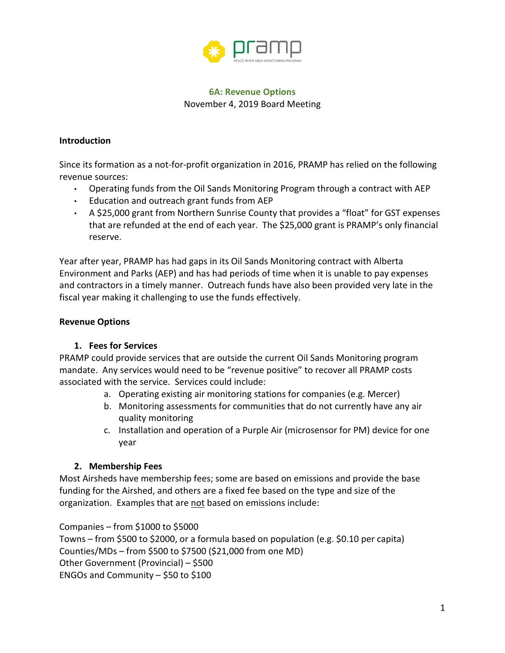

# **6A: Revenue Options** November 4, 2019 Board Meeting

#### **Introduction**

Since its formation as a not-for-profit organization in 2016, PRAMP has relied on the following revenue sources:

- Operating funds from the Oil Sands Monitoring Program through a contract with AEP
- Education and outreach grant funds from AEP
- A \$25,000 grant from Northern Sunrise County that provides a "float" for GST expenses that are refunded at the end of each year. The \$25,000 grant is PRAMP's only financial reserve.

Year after year, PRAMP has had gaps in its Oil Sands Monitoring contract with Alberta Environment and Parks (AEP) and has had periods of time when it is unable to pay expenses and contractors in a timely manner. Outreach funds have also been provided very late in the fiscal year making it challenging to use the funds effectively.

# **Revenue Options**

## **1. Fees for Services**

PRAMP could provide services that are outside the current Oil Sands Monitoring program mandate. Any services would need to be "revenue positive" to recover all PRAMP costs associated with the service. Services could include:

- a. Operating existing air monitoring stations for companies (e.g. Mercer)
- b. Monitoring assessments for communities that do not currently have any air quality monitoring
- c. Installation and operation of a Purple Air (microsensor for PM) device for one year

# **2. Membership Fees**

Most Airsheds have membership fees; some are based on emissions and provide the base funding for the Airshed, and others are a fixed fee based on the type and size of the organization. Examples that are not based on emissions include:

Companies – from \$1000 to \$5000

Towns – from \$500 to \$2000, or a formula based on population (e.g. \$0.10 per capita) Counties/MDs – from \$500 to \$7500 (\$21,000 from one MD) Other Government (Provincial) – \$500 ENGOs and Community – \$50 to \$100